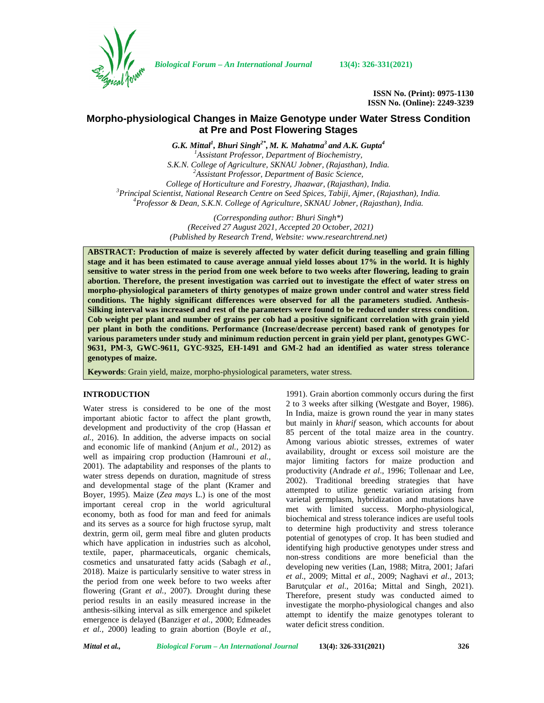

*Biological Forum – An International Journal* **13(4): 326-331(2021)**

**ISSN No. (Print): 0975-1130 ISSN No. (Online): 2249-3239**

# **Morpho-physiological Changes in Maize Genotype under Water Stress Condition at Pre and Post Flowering Stages**

*G.K. Mittal<sup>1</sup> , Bhuri Singh2\* , M. K. Mahatma<sup>3</sup> and A.K. Gupta<sup>4</sup> <sup>1</sup>Assistant Professor, Department of Biochemistry, S.K.N. College of Agriculture, SKNAU Jobner, (Rajasthan), India. <sup>2</sup>Assistant Professor, Department of Basic Science,* College of Horticulture and Forestry, Jhaawar, (Rajasthan), India.<br><sup>3</sup> Principal Scientist, National Research Centre on Seed Spices, Tabiji, Ajmer, (Rajasthan), India.<br><sup>4</sup> Professor & Dean, S.K.N. College of Agriculture, S

*(Corresponding author: Bhuri Singh\*) (Received 27 August 2021, Accepted 20 October, 2021) (Published by Research Trend, Website: [www.researchtrend.net\)](www.researchtrend.net)*

**ABSTRACT: Production of maize is severely affected by water deficit during teaselling and grain filling stage and it has been estimated to cause average annual yield losses about 17% in the world. It is highly sensitive to water stress in the period from one week before to two weeks after flowering, leading to grain abortion. Therefore, the present investigation was carried out to investigate the effect of water stress on morpho-physiological parameters of thirty genotypes of maize grown under control and water stress field conditions. The highly significant differences were observed for all the parameters studied. Anthesis- Silking interval was increased and rest of the parameters were found to be reduced under stress condition. Cob weight per plant and number of grains per cob had a positive significant correlation with grain yield per plant in both the conditions. Performance (Increase/decrease percent) based rank of genotypes for various parameters under study and minimum reduction percent in grain yield per plant, genotypes GWC- 9631, PM-3, GWC-9611, GYC-9325, EH-1491 and GM-2 had an identified as water stress tolerance genotypes of maize.**

**Keywords**: Grain yield, maize, morpho-physiological parameters, water stress.

## **INTRODUCTION**

Water stress is considered to be one of the most important abiotic factor to affect the plant growth, development and productivity of the crop (Hassan *et al.,* 2016). In addition, the adverse impacts on social and economic life of mankind (Anjum *et al.,* 2012) as well as impairing crop production (Hamrouni *et al.,* 2001). The adaptability and responses of the plants to water stress depends on duration, magnitude of stress and developmental stage of the plant (Kramer and Boyer, 1995). Maize (*Zea mays* L.) is one of the most important cereal crop in the world agricultural economy, both as food for man and feed for animals and its serves as a source for high fructose syrup, malt dextrin, germ oil, germ meal fibre and gluten products which have application in industries such as alcohol, textile, paper, pharmaceuticals, organic chemicals, cosmetics and unsaturated fatty acids (Sabagh *et al.*, 2018). Maize is particularly sensitive to water stress in the period from one week before to two weeks after flowering (Grant *et al.,* 2007). Drought during these period results in an easily measured increase in the anthesis-silking interval as silk emergence and spikelet emergence is delayed (Banziger *et al.,* 2000; Edmeades *et al.,* 2000) leading to grain abortion (Boyle *et al.,*

1991). Grain abortion commonly occurs during the first 2 to 3 weeks after silking (Westgate and Boyer, 1986). In India, maize is grown round the year in many states but mainly in *kharif* season, which accounts for about 85 percent of the total maize area in the country. Among various abiotic stresses, extremes of water availability, drought or excess soil moisture are the major limiting factors for maize production and productivity (Andrade *et al*., 1996; Tollenaar and Lee, 2002). Traditional breeding strategies that have attempted to utilize genetic variation arising from varietal germplasm, hybridization and mutations have met with limited success. Morpho-physiological, biochemical and stress tolerance indices are useful tools to determine high productivity and stress tolerance potential of genotypes of crop. It has been studied and identifying high productive genotypes under stress and non-stress conditions are more beneficial than the developing new verities (Lan, 1988; Mitra, 2001; Jafari *et al*., 2009; Mittal *et al*., 2009; Naghavi *et al*., 2013; Barutçular *et al*., 2016a; Mittal and Singh, 2021). Therefore, present study was conducted aimed to investigate the morpho-physiological changes and also attempt to identify the maize genotypes tolerant to water deficit stress condition.

*Mittal et al., Biological Forum – An International Journal* **13(4): 326-331(2021) 326**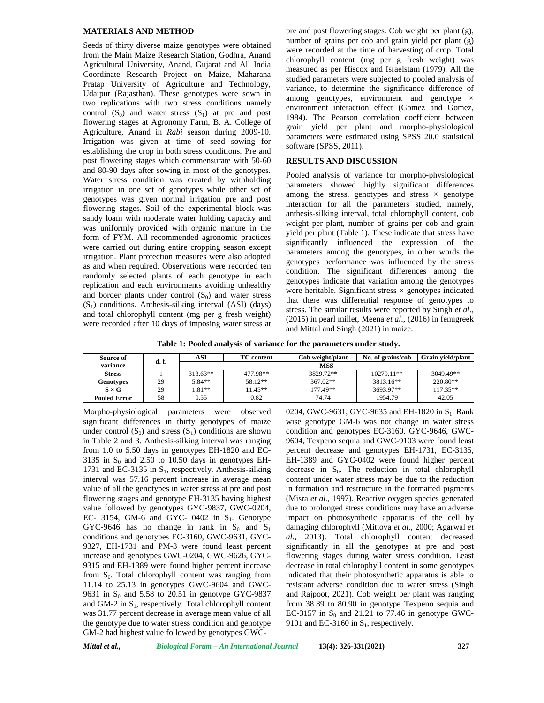### **MATERIALS AND METHOD**

Seeds of thirty diverse maize genotypes were obtained from the Main Maize Research Station, Godhra, Anand Agricultural University, Anand, Gujarat and All India Coordinate Research Project on Maize, Maharana Pratap University of Agriculture and Technology, Udaipur (Rajasthan). These genotypes were sown in two replications with two stress conditions namely control  $(S_0)$  and water stress  $(S_1)$  at pre and post flowering stages at Agronomy Farm, B. A. College of Agriculture, Anand in *Rabi* season during 2009-10. Irrigation was given at time of seed sowing for establishing the crop in both stress conditions. Pre and post flowering stages which commensurate with 50-60 and 80-90 days after sowing in most of the genotypes. Water stress condition was created by withholding irrigation in one set of genotypes while other set of genotypes was given normal irrigation pre and post flowering stages. Soil of the experimental block was sandy loam with moderate water holding capacity and was uniformly provided with organic manure in the form of FYM. All recommended agronomic practices were carried out during entire cropping season except irrigation. Plant protection measures were also adopted as and when required. Observations were recorded ten randomly selected plants of each genotype in each replication and each environments avoiding unhealthy and border plants under control  $(S_0)$  and water stress  $(S<sub>1</sub>)$  conditions. Anthesis-silking interval (ASI) (days) and total chlorophyll content (mg per g fresh weight) were recorded after 10 days of imposing water stress at pre and post flowering stages. Cob weight per plant (g), number of grains per cob and grain yield per plant (g) were recorded at the time of harvesting of crop. Total chlorophyll content (mg per g fresh weight) was measured as per Hiscox and Israelstam (1979). All the studied parameters were subjected to pooled analysis of variance, to determine the significance difference of among genotypes, environment and genotype  $\times$ environment interaction effect (Gomez and Gomez, 1984). The Pearson correlation coefficient between grain yield per plant and morpho-physiological parameters were estimated using SPSS 20.0 statistical software (SPSS, 2011).

# **RESULTS AND DISCUSSION**

Pooled analysis of variance for morpho-physiological parameters showed highly significant differences among the stress, genotypes and stress  $\times$  genotype interaction for all the parameters studied, namely, anthesis-silking interval, total chlorophyll content, cob weight per plant, number of grains per cob and grain yield per plant (Table 1). These indicate that stress have significantly influenced the expression of the parameters among the genotypes, in other words the genotypes performance was influenced by the stress condition. The significant differences among the genotypes indicate that variation among the genotypes were heritable. Significant stress  $\times$  genotypes indicated that there was differential response of genotypes to stress. The similar results were reported by Singh *et al*., (2015) in pearl millet, Meena *et al*., (2016) in fenugreek and Mittal and Singh (2021) in maize.

**Table 1: Pooled analysis of variance for the parameters under study.**

| Source of           | d. f. | ASI       | <b>TC</b> content | No. of grains/cob | Grain vield/plant |            |
|---------------------|-------|-----------|-------------------|-------------------|-------------------|------------|
| variance            |       |           |                   | <b>MSS</b>        |                   |            |
| <b>Stress</b>       |       | $31363**$ | 477.98**          | 3829.72**         | $10279.11**$      | 3049.49**  |
| <b>Genotypes</b>    | 29    | $5.84**$  | 58.12**           | $367.02**$        | 3813.16**         | 220.80**   |
| $S \times G$        | 29    | $.81**$   | $1.45**$          | 177.49**          | 3693.97**         | $117.35**$ |
| <b>Pooled Error</b> | 58    | 0.55      | 0.82              | 74.74             | 1954.79           | 42.05      |

Morpho-physiological parameters were observed significant differences in thirty genotypes of maize under control  $(S_0)$  and stress  $(S_1)$  conditions are shown in Table 2 and 3. Anthesis-silking interval was ranging from 1.0 to 5.50 days in genotypes EH-1820 and EC- 3135 in  $S_0$  and 2.50 to 10.50 days in genotypes EH-1731 and EC-3135 in  $S_1$ , respectively. Anthesis-silking interval was 57.16 percent increase in average mean value of all the genotypes in water stress at pre and post flowering stages and genotype EH-3135 having highest value followed by genotypes GYC-9837, GWC-0204, EC- 3154, GM-6 and GYC- 0402 in  $S<sub>1</sub>$ . Genotype GYC-9646 has no change in rank in  $S_0$  and  $S_1$ conditions and genotypes EC-3160, GWC-9631, GYC- 9327, EH-1731 and PM-3 were found least percent increase and genotypes GWC-0204, GWC-9626, GYC- 9315 and EH-1389 were found higher percent increase from  $S_0$ . Total chlorophyll content was ranging from 11.14 to 25.13 in genotypes GWC-9604 and GWC- 9631 in  $S_0$  and 5.58 to 20.51 in genotype GYC-9837 and GM-2 in  $S_1$ , respectively. Total chlorophyll content was 31.77 percent decrease in average mean value of all the genotype due to water stress condition and genotype GM-2 had highest value followed by genotypes GWC-

0204, GWC-9631, GYC-9635 and EH-1820 in  $S_1$ . Rank wise genotype GM-6 was not change in water stress condition and genotypes EC-3160, GYC-9646, GWC- 9604, Texpeno sequia and GWC-9103 were found least percent decrease and genotypes EH-1731, EC-3135, EH-1389 and GYC-0402 were found higher percent decrease in  $S_0$ . The reduction in total chlorophyll content under water stress may be due to the reduction in formation and restructure in the formatted pigments (Misra *et al.,* 1997). Reactive oxygen species generated due to prolonged stress conditions may have an adverse impact on photosynthetic apparatus of the cell by damaging chlorophyll (Mittova *et al.,* 2000; Agarwal *et al.,* 2013). Total chlorophyll content decreased significantly in all the genotypes at pre and post flowering stages during water stress condition. Least decrease in total chlorophyll content in some genotypes indicated that their photosynthetic apparatus is able to resistant adverse condition due to water stress (Singh and Rajpoot, 2021). Cob weight per plant was ranging from 38.89 to 80.90 in genotype Texpeno sequia and EC-3157 in  $S_0$  and 21.21 to 77.46 in genotype GWC-9101 and EC-3160 in  $S_1$ , respectively.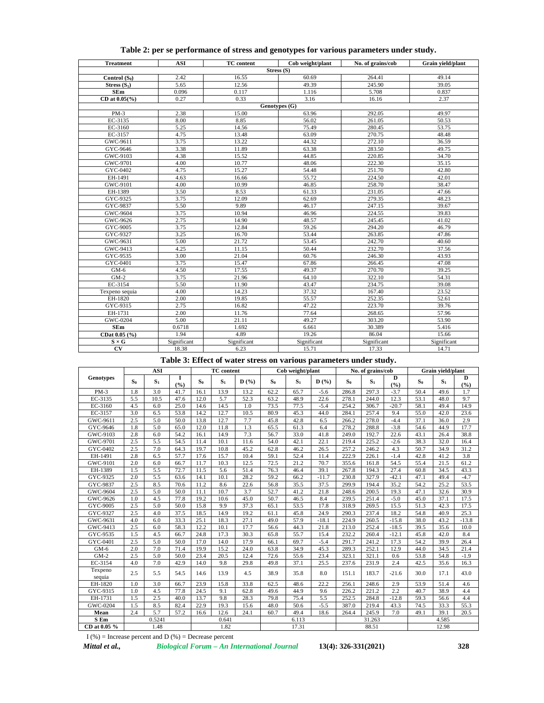| <b>Treatment</b>    | <b>ASI</b>  | <b>TC</b> content | Cob weight/plant | No. of grains/cob | Grain yield/plant |
|---------------------|-------------|-------------------|------------------|-------------------|-------------------|
|                     |             |                   | Stress (S)       |                   |                   |
| Control $(S_0)$     | 2.42        | 16.55             | 60.69            | 264.41            | 49.14             |
| Stress $(S_1)$      | 5.65        | 12.56             | 49.39            | 245.90            | 39.05             |
| SEm                 | 0.096       | 0.117             | 1.116            | 5.708             | 0.837             |
| CD at $0.05$ (%)    | 0.27        | 0.33              | 3.16             | 16.16             | 2.37              |
|                     |             |                   | Genotypes (G)    |                   |                   |
| $PM-3$              | 2.38        | 15.00             | 63.96            | 292.05            | 49.97             |
| EC-3135             | 8.00        | 8.85              | 56.02            | 261.05            | 50.53             |
| EC-3160             | 5.25        | 14.56             | 75.49            | 280.45            | 53.75             |
| EC-3157             | 4.75        | 13.48             | 63.09            | 270.75            | 48.48             |
| GWC-9611            | 3.75        | 13.22             | 44.32            | 272.10            | 36.59             |
| GYC-9646            | 3.38        | 11.89             | 63.38            | 283.50            | 49.75             |
| GWC-9103            | 4.38        | 15.52             | 44.85            | 220.85            | 34.70             |
| GWC-9701            | 4.00        | 10.77             | 48.06            | 222.30            | 35.15             |
| GYC-0402            | 4.75        | 15.27             | 54.48            | 251.70            | 42.80             |
| EH-1491             | 4.63        | 16.66             | 55.72            | 224.50            | 42.01             |
| GWC-9101            | 4.00        | 10.99             | 46.85            | 258.70            | 38.47             |
| EH-1389             | 3.50        | 8.53              | 61.33            | 231.05            | 47.66             |
| GYC-9325            | 3.75        | 12.09             | 62.69            | 279.35            | 48.23             |
| GYC-9837            | 5.50        | 9.89              | 46.17            | 247.15            | 39.67             |
| GWC-9604            | 3.75        | 10.94             | 46.96            | 224.55            | 39.83             |
| GWC-9626            | 2.75        | 14.90             | 48.57            | 245.45            | 41.02             |
| GYC-9005            | 3.75        | 12.84             | 59.26            | 294.20            | 46.79             |
| GYC-9327            | 3.25        | 16.70             | 53.44            | 263.85            | 47.86             |
| GWC-9631            | 5.00        | 21.72             | 53.45            | 242.70            | 40.60             |
| GWC-9413            | 4.25        | 11.15             | 50.44            | 232.70            | 37.56             |
| GYC-9535            | 3.00        | 21.04             | 60.76            | 246.30            | 43.93             |
| GYC-0401            | 3.75        | 15.47             | 67.86            | 266.45            | 47.08             |
| $GM-6$              | 4.50        | 17.55             | 49.37            | 270.70            | 39.25             |
| $GM-2$              | 3.75        | 21.96             | 64.10            | 322.10            | 54.31             |
| EC-3154             | 5.50        | 11.90             | 43.47            | 234.75            | 39.08             |
| Texpeno sequia      | 4.00        | 14.23             | 37.32            | 167.40            | 23.52             |
| EH-1820             | 2.00        | 19.85             | 55.57            | 252.35            | 52.61             |
| GYC-9315            | 2.75        | 16.82             | 47.22            | 223.70            | 39.76             |
| EH-1731             | 2.00        | 11.76             | 77.64            | 268.65            | 57.96             |
| GWC-0204            | 5.00        | 21.11             | 49.27            | 303.20            | 53.90             |
| <b>SEm</b>          | 0.6718      | 1.692             | 6.661            | 30.389            | 5.416             |
| CDat 0.05 (%)       | 1.94        | 4.89              | 19.26            | 86.04             | 15.66             |
| $S \times G$        | Significant | Significant       | Significant      | Significant       | Significant       |
| $\overline{\rm cv}$ | 18.38       | 6.23              | 15.71            | 17.33             | 14.71             |

# **Table 2: per se performance of stress and genotypes for various parameters under study.**

**Table 3: Effect of water stress on various parameters under study.**

|                   | <b>ASI</b> |                |            | TC content |       |      | Cob weight/plant |       | No. of grains/cob |       |                | Grain yield/plant |       |       |          |
|-------------------|------------|----------------|------------|------------|-------|------|------------------|-------|-------------------|-------|----------------|-------------------|-------|-------|----------|
| Genotypes         | $S_0$      | S <sub>1</sub> | 1<br>(9/6) | $S_0$      | $S_1$ | D(%) | $S_0$            | $S_1$ | $\mathbf{D}$ (%)  | $S_0$ | S <sub>1</sub> | D<br>(%)          | $S_0$ | $S_1$ | D<br>(%) |
| $PM-3$            | 1.8        | 3.0            | 41.7       | 16.1       | 13.9  | 13.2 | 62.2             | 65.7  | $-5.6$            | 286.8 | 297.3          | $-3.7$            | 50.4  | 49.6  | 1.7      |
| EC-3135           | 5.5        | 10.5           | 47.6       | 12.0       | 5.7   | 52.3 | 63.2             | 48.9  | 22.6              | 278.1 | 244.0          | 12.3              | 53.1  | 48.0  | 9.7      |
| EC-3160           | 4.5        | 6.0            | 25.0       | 14.6       | 14.5  | 1.0  | 73.5             | 77.5  | $-5.4$            | 254.2 | 306.7          | $-20.7$           | 58.1  | 49.4  | 14.9     |
| EC-3157           | 3.0        | 6.5            | 53.8       | 14.2       | 12.7  | 10.5 | 80.9             | 45.3  | 44.0              | 284.1 | 257.4          | 9.4               | 55.0  | 42.0  | 23.6     |
| GWC-9611          | 2.5        | 5.0            | 50.0       | 13.8       | 12.7  | 7.7  | 45.8             | 42.8  | 6.5               | 266.2 | 278.0          | $-4.4$            | 37.1  | 36.0  | 2.9      |
| GYC-9646          | 1.8        | 5.0            | 65.0       | 12.0       | 11.8  | 1.3  | 65.5             | 61.3  | 6.4               | 278.2 | 288.8          | $-3.8$            | 54.6  | 44.9  | 17.7     |
| GWC-9103          | 2.8        | 6.0            | 54.2       | 16.1       | 14.9  | 7.3  | 56.7             | 33.0  | 41.8              | 249.0 | 192.7          | 22.6              | 43.1  | 26.4  | 38.8     |
| GWC-9701          | 2.5        | 5.5            | 54.5       | 11.4       | 10.1  | 11.6 | 54.0             | 42.1  | 22.1              | 219.4 | 225.2          | $-2.6$            | 38.3  | 32.0  | 16.4     |
| GYC-0402          | 2.5        | 7.0            | 64.3       | 19.7       | 10.8  | 45.2 | 62.8             | 46.2  | 26.5              | 257.2 | 246.2          | 4.3               | 50.7  | 34.9  | 31.2     |
| EH-1491           | 2.8        | 6.5            | 57.7       | 17.6       | 15.7  | 10.4 | 59.1             | 52.4  | 11.4              | 222.9 | 226.1          | $-1.4$            | 42.8  | 41.2  | 3.8      |
| GWC-9101          | 2.0        | 6.0            | 66.7       | 11.7       | 10.3  | 12.5 | 72.5             | 21.2  | 70.7              | 355.6 | 161.8          | 54.5              | 55.4  | 21.5  | 61.2     |
| EH-1389           | 1.5        | 5.5            | 72.7       | 11.5       | 5.6   | 51.4 | 76.3             | 46.4  | 39.1              | 267.8 | 194.3          | 27.4              | 60.8  | 34.5  | 43.3     |
| GYC-9325          | 2.0        | 5.5            | 63.6       | 14.1       | 10.1  | 28.2 | 59.2             | 66.2  | $-11.7$           | 230.8 | 327.9          | $-42.1$           | 47.1  | 49.4  | $-4.7$   |
| GYC-9837          | 2.5        | 8.5            | 70.6       | 11.2       | 8.6   | 22.6 | 56.8             | 35.5  | 37.5              | 299.9 | 194.4          | 35.2              | 54.2  | 25.2  | 53.5     |
| GWC-9604          | 2.5        | 5.0            | 50.0       | 11.1       | 10.7  | 3.7  | 52.7             | 41.2  | 21.8              | 248.6 | 200.5          | 19.3              | 47.1  | 32.6  | 30.9     |
| GWC-9626          | 1.0        | 4.5            | 77.8       | 19.2       | 10.6  | 45.0 | 50.7             | 46.5  | 8.4               | 239.5 | 251.4          | $-5.0$            | 45.0  | 37.1  | 17.5     |
| GYC-9005          | 2.5        | 5.0            | 50.0       | 15.8       | 9.9   | 37.3 | 65.1             | 53.5  | 17.8              | 318.9 | 269.5          | 15.5              | 51.3  | 42.3  | 17.5     |
| GYC-9327          | 2.5        | 4.0            | 37.5       | 18.5       | 14.9  | 19.2 | 61.1             | 45.8  | 24.9              | 290.3 | 237.4          | 18.2              | 54.8  | 40.9  | 25.3     |
| GWC-9631          | 4.0        | 6.0            | 33.3       | 25.1       | 18.3  | 27.1 | 49.0             | 57.9  | $-18.1$           | 224.9 | 260.5          | $-15.8$           | 38.0  | 43.2  | $-13.8$  |
| GWC-9413          | 2.5        | 6.0            | 58.3       | 12.2       | 10.1  | 17.7 | 56.6             | 44.3  | 21.8              | 213.0 | 252.4          | $-18.5$           | 39.5  | 35.6  | 10.0     |
| GYC-9535          | 1.5        | 4.5            | 66.7       | 24.8       | 17.3  | 30.3 | 65.8             | 55.7  | 15.4              | 232.2 | 260.4          | $-12.1$           | 45.8  | 42.0  | 8.4      |
| GYC-0401          | 2.5        | 5.0            | 50.0       | 17.0       | 14.0  | 17.9 | 66.1             | 69.7  | $-5.4$            | 291.7 | 241.2          | 17.3              | 54.2  | 39.9  | 26.4     |
| $GM-6$            | 2.0        | 7.0            | 71.4       | 19.9       | 15.2  | 24.0 | 63.8             | 34.9  | 45.3              | 289.3 | 252.1          | 12.9              | 44.0  | 34.5  | 21.4     |
| $GM-2$            | 2.5        | 5.0            | 50.0       | 23.4       | 20.5  | 12.4 | 72.6             | 55.6  | 23.4              | 323.1 | 321.1          | 0.6               | 53.8  | 54.8  | $-1.9$   |
| EC-3154           | 4.0        | 7.0            | 42.9       | 14.0       | 9.8   | 29.8 | 49.8             | 37.1  | 25.5              | 237.6 | 231.9          | 2.4               | 42.5  | 35.6  | 16.3     |
| Texpeno<br>sequia | 2.5        | 5.5            | 54.5       | 14.6       | 13.9  | 4.5  | 38.9             | 35.8  | 8.0               | 151.1 | 183.7          | $-21.6$           | 30.0  | 17.1  | 43.0     |
| EH-1820           | 1.0        | 3.0            | 66.7       | 23.9       | 15.8  | 33.8 | 62.5             | 48.6  | 22.2              | 256.1 | 248.6          | 2.9               | 53.9  | 51.4  | 4.6      |
| GYC-9315          | 1.0        | 4.5            | 77.8       | 24.5       | 9.1   | 62.8 | 49.6             | 44.9  | 9.6               | 226.2 | 221.2          | 2.2               | 40.7  | 38.9  | 4.4      |
| EH-1731           | 1.5        | 2.5            | 40.0       | 13.7       | 9.8   | 28.3 | 79.8             | 75.4  | 5.5               | 252.5 | 284.8          | $-12.8$           | 59.3  | 56.6  | 4.4      |
| GWC-0204          | 1.5        | 8.5            | 82.4       | 22.9       | 19.3  | 15.6 | 48.0             | 50.6  | $-5.5$            | 387.0 | 219.4          | 43.3              | 74.5  | 33.3  | 55.3     |
| Mean              | 2.4        | 5.7            | 57.2       | 16.6       | 12.6  | 24.1 | 60.7             | 49.4  | 18.6              | 264.4 | 245.9          | 7.0               | 49.1  | 39.1  | 20.5     |
| S Em              |            | 0.5241         |            |            | 0.641 |      |                  | 6.113 |                   |       | 31.263         |                   |       | 4.585 |          |
| CD at 0.05 %      |            | 1.48           |            |            | 1.82  |      |                  | 17.31 |                   |       | 88.51          |                   |       | 12.98 |          |

 $I$  (%) = Increase percent and D (%) = Decrease percent

*Mittal et al., Biological Forum – An International Journal* **13(4): 326-331(2021) 328**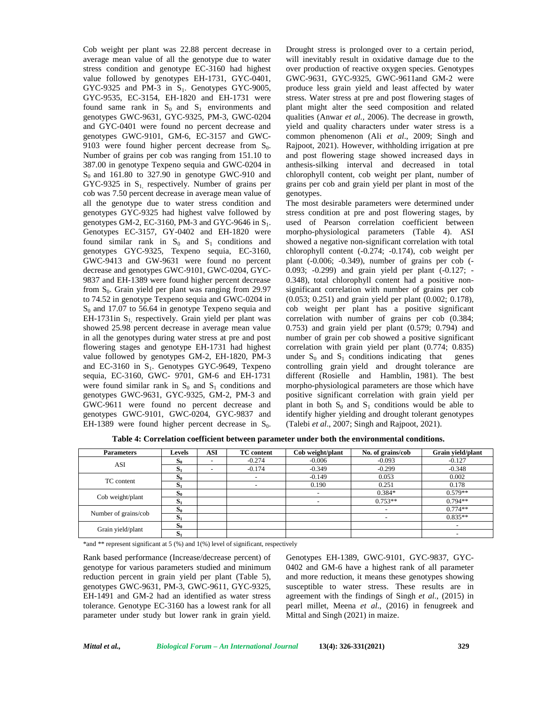Cob weight per plant was 22.88 percent decrease in average mean value of all the genotype due to water stress condition and genotype EC-3160 had highest value followed by genotypes EH-1731, GYC-0401, GYC-9325 and PM-3 in  $S_1$ . Genotypes GYC-9005, GYC-9535, EC-3154, EH-1820 and EH-1731 were found same rank in  $S_0$  and  $S_1$  environments and genotypes GWC-9631, GYC-9325, PM-3, GWC-0204 and GYC-0401 were found no percent decrease and genotypes GWC-9101, GM-6, EC-3157 and GWC- 9103 were found higher percent decrease from  $S_0$ . Number of grains per cob was ranging from 151.10 to 387.00 in genotype Texpeno sequia and GWC-0204 in  $S_0$  and 161.80 to 327.90 in genotype GWC-910 and GYC-9325 in  $S<sub>1</sub>$ , respectively. Number of grains per cob was 7.50 percent decrease in average mean value of all the genotype due to water stress condition and genotypes GYC-9325 had highest valve followed by genotypes GM-2, EC-3160, PM-3 and GYC-9646 in  $S_1$ . Genotypes EC-3157, GY-0402 and EH-1820 were found similar rank in  $S_0$  and  $S_1$  conditions and genotypes GYC-9325, Texpeno sequia, EC-3160, GWC-9413 and GW-9631 were found no percent decrease and genotypes GWC-9101, GWC-0204, GYC- 9837 and EH-1389 were found higher percent decrease from  $S_0$ . Grain yield per plant was ranging from 29.97 to 74.52 in genotype Texpeno sequia and GWC-0204 in  $S_0$  and 17.07 to 56.64 in genotype Texpeno sequia and EH-1731in  $S_1$  respectively. Grain yield per plant was showed 25.98 percent decrease in average mean value in all the genotypes during water stress at pre and post flowering stages and genotype EH-1731 had highest value followed by genotypes GM-2, EH-1820, PM-3 and EC-3160 in  $S_1$ . Genotypes GYC-9649, Texpeno sequia, EC-3160, GWC- 9701, GM-6 and EH-1731 were found similar rank in  $S_0$  and  $S_1$  conditions and genotypes GWC-9631, GYC-9325, GM-2, PM-3 and GWC-9611 were found no percent decrease and genotypes GWC-9101, GWC-0204, GYC-9837 and EH-1389 were found higher percent decrease in  $S_0$ . Drought stress is prolonged over to a certain period, will inevitably result in oxidative damage due to the over production of reactive oxygen species. Genotypes GWC-9631, GYC-9325, GWC-9611and GM-2 were produce less grain yield and least affected by water stress. Water stress at pre and post flowering stages of plant might alter the seed composition and related qualities (Anwar *et al.,* 2006). The decrease in growth, yield and quality characters under water stress is a common phenomenon (Ali *et al*., 2009; Singh and Rajpoot, 2021). However, withholding irrigation at pre and post flowering stage showed increased days in anthesis-silking interval and decreased in total chlorophyll content, cob weight per plant, number of grains per cob and grain yield per plant in most of the genotypes.

The most desirable parameters were determined under stress condition at pre and post flowering stages, by used of Pearson correlation coefficient between morpho-physiological parameters (Table 4). ASI showed a negative non-significant correlation with total chlorophyll content (-0.274; -0.174), cob weight per plant (-0.006; -0.349), number of grains per cob (- 0.093; -0.299) and grain yield per plant (-0.127; - 0.348), total chlorophyll content had a positive non significant correlation with number of grains per cob (0.053; 0.251) and grain yield per plant (0.002; 0.178), cob weight per plant has a positive significant correlation with number of grains per cob (0.384; 0.753) and grain yield per plant (0.579; 0.794) and number of grain per cob showed a positive significant correlation with grain yield per plant (0.774; 0.835) under  $S_0$  and  $S_1$  conditions indicating that genes controlling grain yield and drought tolerance are different (Rosielle and Hamblin, 1981). The best morpho-physiological parameters are those which have positive significant correlation with grain yield per plant in both  $S_0$  and  $S_1$  conditions would be able to identify higher yielding and drought tolerant genotypes (Talebi *et al*., 2007; Singh and Rajpoot, 2021).

**Table 4: Correlation coefficient between parameter under both the environmental conditions.**

| <b>Parameters</b>    | <b>Levels</b>                  | ASI | <b>TC</b> content | Cob weight/plant         | No. of grains/cob | Grain yield/plant |
|----------------------|--------------------------------|-----|-------------------|--------------------------|-------------------|-------------------|
| <b>ASI</b>           | O0                             |     | $-0.274$          | $-0.006$                 | $-0.093$          | $-0.127$          |
|                      | $S_1$                          | -   | $-0.174$          | $-0.349$                 | $-0.299$          | $-0.348$          |
|                      | $S_0$                          |     |                   | $-0.149$                 | 0.053             | 0.002             |
| TC content           | $\mathbf{D}$                   |     |                   | 0.190                    | 0.251             | 0.178             |
|                      | c<br>O0                        |     |                   | $\overline{\phantom{a}}$ | $0.384*$          | $0.579**$         |
| Cob weight/plant     | $S_1$                          |     |                   | $\overline{\phantom{a}}$ | $0.753**$         | $0.794**$         |
|                      | $S_0$                          |     |                   |                          |                   | $0.774**$         |
| Number of grains/cob | $S_1$                          |     |                   |                          |                   | $0.835**$         |
|                      | $\mathbf{C}$<br>$\mathbf{S}_0$ |     |                   |                          |                   |                   |
| Grain yield/plant    | 01                             |     |                   |                          |                   | ۰                 |

\*and \*\* represent significant at 5 (%) and 1(%) level of significant, respectively

Rank based performance (Increase/decrease percent) of genotype for various parameters studied and minimum reduction percent in grain yield per plant (Table 5), genotypes GWC-9631, PM-3, GWC-9611, GYC-9325, EH-1491 and GM-2 had an identified as water stress tolerance. Genotype EC-3160 has a lowest rank for all parameter under study but lower rank in grain yield.

Genotypes EH-1389, GWC-9101, GYC-9837, GYC- 0402 and GM-6 have a highest rank of all parameter and more reduction, it means these genotypes showing susceptible to water stress. These results are in agreement with the findings of Singh *et al*., (2015) in pearl millet, Meena *et al*., (2016) in fenugreek and Mittal and Singh (2021) in maize.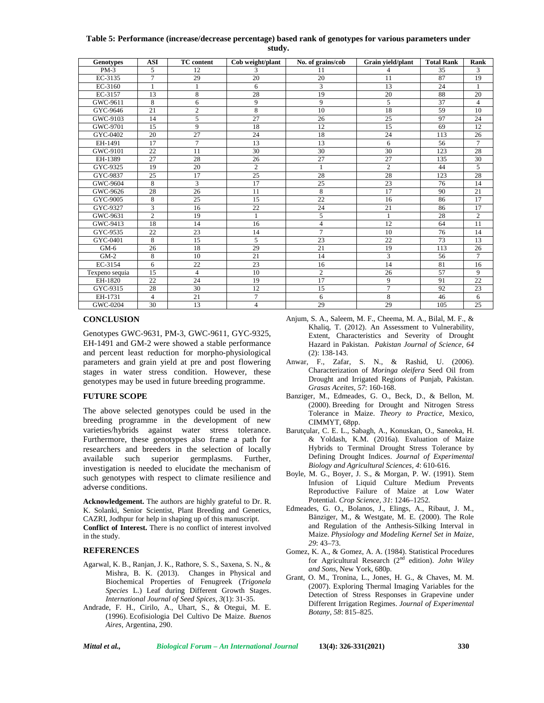### **Table 5: Performance (increase/decrease percentage) based rank of genotypes for various parameters under study.**

| <b>Genotypes</b> | <b>ASI</b>      | <b>TC</b> content | Cob weight/plant | No. of grains/cob | Grain vield/plant | <b>Total Rank</b> | Rank           |
|------------------|-----------------|-------------------|------------------|-------------------|-------------------|-------------------|----------------|
| $PM-3$           | 5               | 12                | 3                | 11                | 4                 | 35                | 3              |
| EC-3135          | $\tau$          | 29                | 20               | 20                | 11                | 87                | 19             |
| EC-3160          | $\mathbf{1}$    | 1                 | 6                | 3                 | 13                | 24                | $\mathbf{1}$   |
| EC-3157          | 13              | 8                 | 28               | 19                | 20                | 88                | 20             |
| GWC-9611         | 8               | 6                 | 9                | 9                 | 5                 | 37                | $\overline{4}$ |
| GYC-9646         | 21              | $\mathfrak{2}$    | $\overline{8}$   | 10                | 18                | 59                | 10             |
| GWC-9103         | 14              | 5                 | 27               | 26                | 25                | 97                | 24             |
| GWC-9701         | 15              | 9                 | 18               | 12                | 15                | 69                | 12             |
| GYC-0402         | 20              | $\overline{27}$   | 24               | 18                | 24                | 113               | 26             |
| EH-1491          | 17              | $\overline{7}$    | 13               | 13                | 6                 | 56                | $\overline{7}$ |
| GWC-9101         | $\overline{22}$ | 11                | 30               | 30                | 30                | 123               | 28             |
| EH-1389          | 27              | 28                | 26               | 27                | $\overline{27}$   | 135               | 30             |
| GYC-9325         | 19              | 20                | $\overline{c}$   | $\mathbf{1}$      | $\overline{2}$    | 44                | 5              |
| GYC-9837         | 25              | 17                | 25               | 28                | 28                | 123               | 28             |
| GWC-9604         | 8               | 3                 | 17               | 25                | 23                | 76                | 14             |
| GWC-9626         | 28              | 26                | 11               | 8                 | 17                | 90                | 21             |
| GYC-9005         | 8               | 25                | 15               | 22                | 16                | 86                | 17             |
| GYC-9327         | 3               | 16                | 22               | 24                | 21                | 86                | 17             |
| GWC-9631         | $\overline{c}$  | 19                |                  | 5                 |                   | 28                | $\overline{c}$ |
| GWC-9413         | 18              | 14                | 16               | $\overline{4}$    | 12                | 64                | 11             |
| GYC-9535         | 22              | 23                | 14               | $\overline{7}$    | 10                | 76                | 14             |
| GYC-0401         | 8               | 15                | 5                | 23                | $\overline{22}$   | 73                | 13             |
| $GM-6$           | 26              | 18                | 29               | 21                | 19                | 113               | 26             |
| $GM-2$           | 8               | 10                | 21               | 14                | 3                 | 56                | $\tau$         |
| EC-3154          | 6               | 22                | 23               | 16                | 14                | 81                | 16             |
| Texpeno sequia   | 15              | $\overline{4}$    | 10               | $\mathbf{2}$      | 26                | 57                | 9              |
| EH-1820          | 22              | 24                | 19               | 17                | 9                 | 91                | 22             |
| GYC-9315         | 28              | 30                | 12               | 15                | $\overline{7}$    | 92                | 23             |
| EH-1731          | $\overline{4}$  | 21                | $\tau$           | 6                 | 8                 | 46                | 6              |
| GWC-0204         | 30              | 13                | $\overline{4}$   | 29                | 29                | 105               | 25             |

#### **CONCLUSION**

Genotypes GWC-9631, PM-3, GWC-9611, GYC-9325, EH-1491 and GM-2 were showed a stable performance and percent least reduction for morpho-physiological parameters and grain yield at pre and post flowering stages in water stress condition. However, these genotypes may be used in future breeding programme.

## **FUTURE SCOPE**

The above selected genotypes could be used in the breeding programme in the development of new varieties/hybrids against water stress tolerance. Furthermore, these genotypes also frame a path for researchers and breeders in the selection of locally available such superior germplasms. Further, investigation is needed to elucidate the mechanism of such genotypes with respect to climate resilience and adverse conditions.

**Acknowledgement.** The authors are highly grateful to Dr. R. K. Solanki, Senior Scientist, Plant Breeding and Genetics, CAZRI, Jodhpur for help in shaping up of this manuscript.

**Conflict of Interest.** There is no conflict of interest involved in the study.

#### **REFERENCES**

- Agarwal, K. B., Ranjan, J. K., Rathore, S. S., Saxena, S. N., & Mishra, B. K. (2013). Changes in Physical and Biochemical Properties of Fenugreek (*Trigonela Species* L.) Leaf during Different Growth Stages. *International Journal of Seed Spices, 3*(1): 31-35.
- Andrade, F. H., Cirilo, A., Uhart, S., & Otegui, M. E. (1996). Ecofisiologia Del Cultivo De Maize. *Buenos Aires*, Argentina, 290.
- Anjum, S. A., Saleem, M. F., Cheema, M. A., Bilal, M. F., & Khaliq, T. (2012). An Assessment to Vulnerability, Extent, Characteristics and Severity of Drought Hazard in Pakistan. *Pakistan Journal of Science, 64* (2): 138-143.
- Anwar, F., Zafar, S. N., & Rashid, U. (2006). Characterization of *Moringa oleifera* Seed Oil from Drought and Irrigated Regions of Punjab, Pakistan. *Grasas Aceites*, *57*: 160-168.
- Banziger, M., Edmeades, G. O., Beck, D., & Bellon, M. (2000). Breeding for Drought and Nitrogen Stress Tolerance in Maize. *Theory to Practice*, Mexico, CIMMYT, 68pp.
- Barutçular, C. E. L., Sabagh, A., Konuskan, O., Saneoka, H. & Yoldash, K.M. (2016a). Evaluation of Maize Hybrids to Terminal Drought Stress Tolerance by Defining Drought Indices. *Journal of Experimental Biology and Agricultural Sciences, 4*: 610-616.
- Boyle, M. G., Boyer, J. S., & Morgan, P. W. (1991). Stem Infusion of Liquid Culture Medium Prevents Reproductive Failure of Maize at Low Water Potential. *Crop Science*, *31*: 1246–1252.
- Edmeades, G. O., Bolanos, J., Elings, A., Ribaut, J. M., Bänziger, M., & Westgate, M. E. (2000). The Role and Regulation of the Anthesis-Silking Interval in Maize. *Physiology and Modeling Kernel Set in Maize*, *29*: 43–73.
- Gomez, K. A., & Gomez, A. A. (1984). Statistical Procedures for Agricultural Research (2nd edition). *John Wiley and Sons*, New York, 680p.
- Grant, O. M., Tronina, L., Jones, H. G., & Chaves, M. M. (2007). Exploring Thermal Imaging Variables for the Detection of Stress Responses in Grapevine under Different Irrigation Regimes. *Journal of Experimental Botany, 58*: 815–825.

*Mittal et al., Biological Forum – An International Journal* **13(4): 326-331(2021) 330**